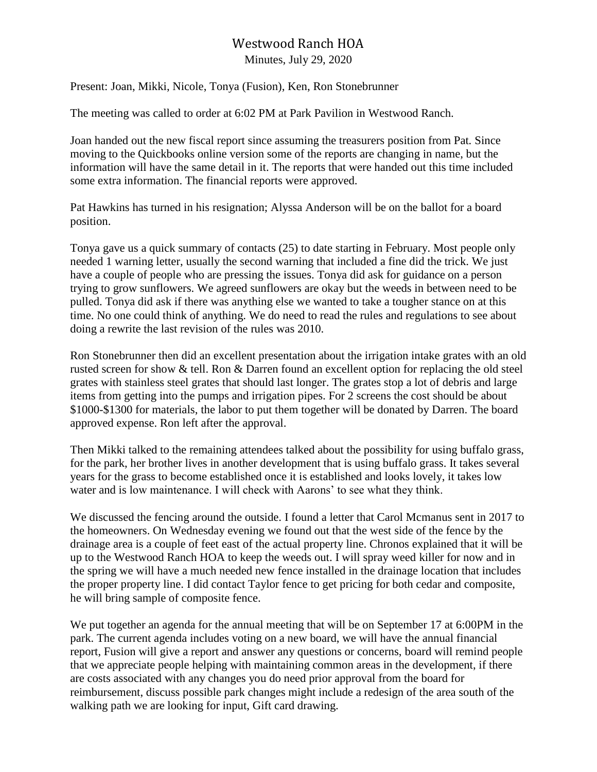## Westwood Ranch HOA

Minutes, July 29, 2020

Present: Joan, Mikki, Nicole, Tonya (Fusion), Ken, Ron Stonebrunner

The meeting was called to order at 6:02 PM at Park Pavilion in Westwood Ranch.

Joan handed out the new fiscal report since assuming the treasurers position from Pat*.* Since moving to the Quickbooks online version some of the reports are changing in name, but the information will have the same detail in it. The reports that were handed out this time included some extra information. The financial reports were approved.

Pat Hawkins has turned in his resignation; Alyssa Anderson will be on the ballot for a board position.

Tonya gave us a quick summary of contacts (25) to date starting in February. Most people only needed 1 warning letter, usually the second warning that included a fine did the trick. We just have a couple of people who are pressing the issues. Tonya did ask for guidance on a person trying to grow sunflowers. We agreed sunflowers are okay but the weeds in between need to be pulled. Tonya did ask if there was anything else we wanted to take a tougher stance on at this time. No one could think of anything. We do need to read the rules and regulations to see about doing a rewrite the last revision of the rules was 2010.

Ron Stonebrunner then did an excellent presentation about the irrigation intake grates with an old rusted screen for show & tell. Ron & Darren found an excellent option for replacing the old steel grates with stainless steel grates that should last longer. The grates stop a lot of debris and large items from getting into the pumps and irrigation pipes. For 2 screens the cost should be about \$1000-\$1300 for materials, the labor to put them together will be donated by Darren. The board approved expense. Ron left after the approval.

Then Mikki talked to the remaining attendees talked about the possibility for using buffalo grass, for the park, her brother lives in another development that is using buffalo grass. It takes several years for the grass to become established once it is established and looks lovely, it takes low water and is low maintenance. I will check with Aarons' to see what they think.

We discussed the fencing around the outside. I found a letter that Carol Mcmanus sent in 2017 to the homeowners. On Wednesday evening we found out that the west side of the fence by the drainage area is a couple of feet east of the actual property line. Chronos explained that it will be up to the Westwood Ranch HOA to keep the weeds out. I will spray weed killer for now and in the spring we will have a much needed new fence installed in the drainage location that includes the proper property line. I did contact Taylor fence to get pricing for both cedar and composite, he will bring sample of composite fence.

We put together an agenda for the annual meeting that will be on September 17 at 6:00PM in the park. The current agenda includes voting on a new board, we will have the annual financial report, Fusion will give a report and answer any questions or concerns, board will remind people that we appreciate people helping with maintaining common areas in the development, if there are costs associated with any changes you do need prior approval from the board for reimbursement, discuss possible park changes might include a redesign of the area south of the walking path we are looking for input, Gift card drawing.